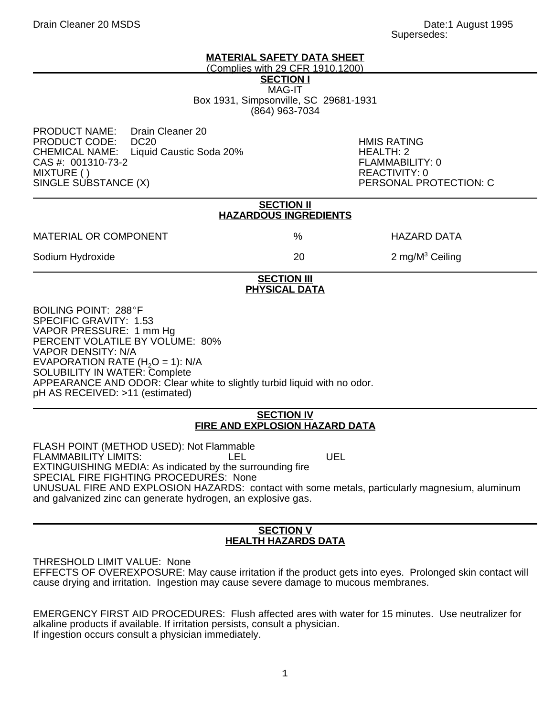## **MATERIAL SAFETY DATA SHEET**

(Complies with 29 CFR 1910.1200)

**SECTION I**

MAG-IT Box 1931, Simpsonville, SC 29681-1931 (864) 963-7034

PRODUCT NAME: Drain Cleaner 20 PRODUCT CODE: DC20 HMIS RATING Liquid Caustic Soda 20% **HEALTH: 2**<br>FLAMMABILITY: 0  $CAS #: 001310-73-2$ MIXTURE ( ) REACTIVITY: 0<br>SINGLE SUBSTANCE (X) PERSONAL PR

PERSONAL PROTECTION: C

|                                                                                  | <b>SECTION II</b><br><b>HAZARDOUS INGREDIENTS</b> |                     |  |
|----------------------------------------------------------------------------------|---------------------------------------------------|---------------------|--|
| <b>MATERIAL OR COMPONENT</b>                                                     | %                                                 | <b>HAZARD DATA</b>  |  |
| Sodium Hydroxide                                                                 | 20                                                | 2 mg/ $M^3$ Ceiling |  |
|                                                                                  | <b>SECTION III</b><br><b>PHYSICAL DATA</b>        |                     |  |
| <b>BOILING POINT: 288°F</b><br>SPECIFIC GRAVITY: 1.53<br>VAPOR PRESSURE: 1 mm Hg |                                                   |                     |  |

PERCENT VOLATILE BY VOLUME: 80% VAPOR DENSITY: N/A EVAPORATION RATE  $(H<sub>2</sub>O = 1)$ : N/A SOLUBILITY IN WATER: Complete APPEARANCE AND ODOR: Clear white to slightly turbid liquid with no odor. pH AS RECEIVED: >11 (estimated)

## **SECTION IV FIRE AND EXPLOSION HAZARD DATA**

FLASH POINT (METHOD USED): Not Flammable FLAMMABILITY LIMITS: LEL LEL UEL EXTINGUISHING MEDIA: As indicated by the surrounding fire SPECIAL FIRE FIGHTING PROCEDURES: None UNUSUAL FIRE AND EXPLOSION HAZARDS: contact with some metals, particularly magnesium, aluminum and galvanized zinc can generate hydrogen, an explosive gas.

# **SECTION V HEALTH HAZARDS DATA**

THRESHOLD LIMIT VALUE: None EFFECTS OF OVEREXPOSURE: May cause irritation if the product gets into eyes. Prolonged skin contact will cause drying and irritation. Ingestion may cause severe damage to mucous membranes.

EMERGENCY FIRST AID PROCEDURES: Flush affected ares with water for 15 minutes. Use neutralizer for alkaline products if available. If irritation persists, consult a physician. If ingestion occurs consult a physician immediately.